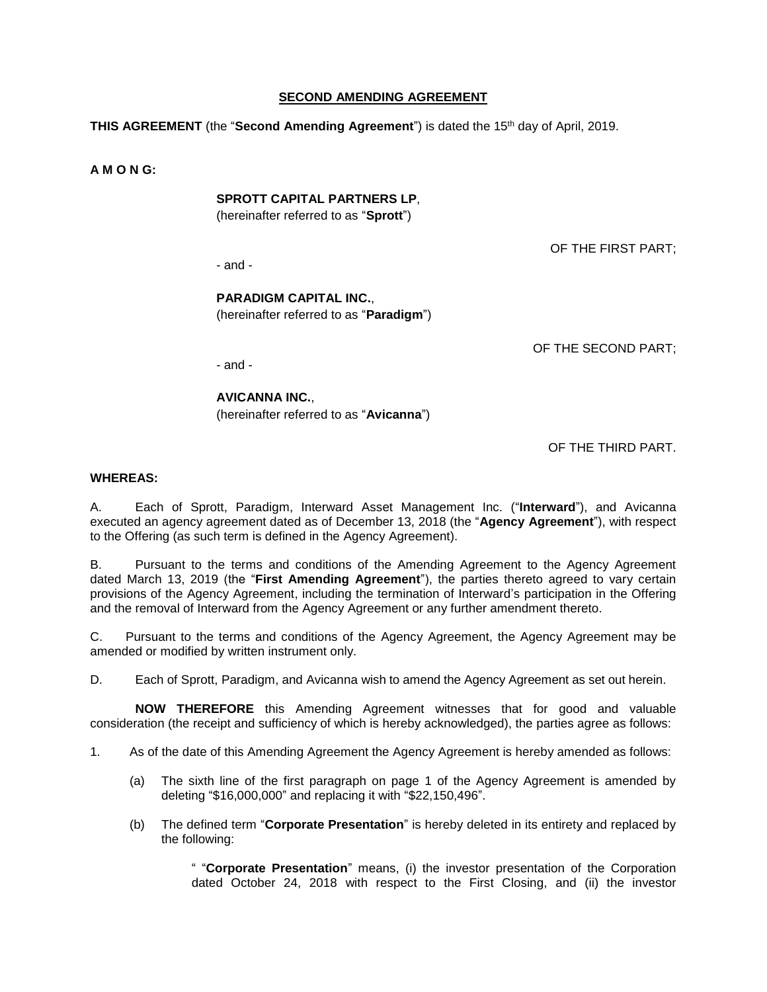### **SECOND AMENDING AGREEMENT**

**THIS AGREEMENT** (the "**Second Amending Agreement**") is dated the 15th day of April, 2019.

**A M O N G:**

#### **SPROTT CAPITAL PARTNERS LP**,

(hereinafter referred to as "**Sprott**")

- and -

OF THE FIRST PART;

## **PARADIGM CAPITAL INC.**, (hereinafter referred to as "**Paradigm**")

OF THE SECOND PART;

- and -

**AVICANNA INC.**, (hereinafter referred to as "**Avicanna**")

OF THE THIRD PART.

#### **WHEREAS:**

A. Each of Sprott, Paradigm, Interward Asset Management Inc. ("**Interward**"), and Avicanna executed an agency agreement dated as of December 13, 2018 (the "**Agency Agreement**"), with respect to the Offering (as such term is defined in the Agency Agreement).

B. Pursuant to the terms and conditions of the Amending Agreement to the Agency Agreement dated March 13, 2019 (the "**First Amending Agreement**"), the parties thereto agreed to vary certain provisions of the Agency Agreement, including the termination of Interward's participation in the Offering and the removal of Interward from the Agency Agreement or any further amendment thereto.

C. Pursuant to the terms and conditions of the Agency Agreement, the Agency Agreement may be amended or modified by written instrument only.

D. Each of Sprott, Paradigm, and Avicanna wish to amend the Agency Agreement as set out herein.

**NOW THEREFORE** this Amending Agreement witnesses that for good and valuable consideration (the receipt and sufficiency of which is hereby acknowledged), the parties agree as follows:

1. As of the date of this Amending Agreement the Agency Agreement is hereby amended as follows:

- (a) The sixth line of the first paragraph on page 1 of the Agency Agreement is amended by deleting "\$16,000,000" and replacing it with "\$22,150,496".
- (b) The defined term "**Corporate Presentation**" is hereby deleted in its entirety and replaced by the following:

" "**Corporate Presentation**" means, (i) the investor presentation of the Corporation dated October 24, 2018 with respect to the First Closing, and (ii) the investor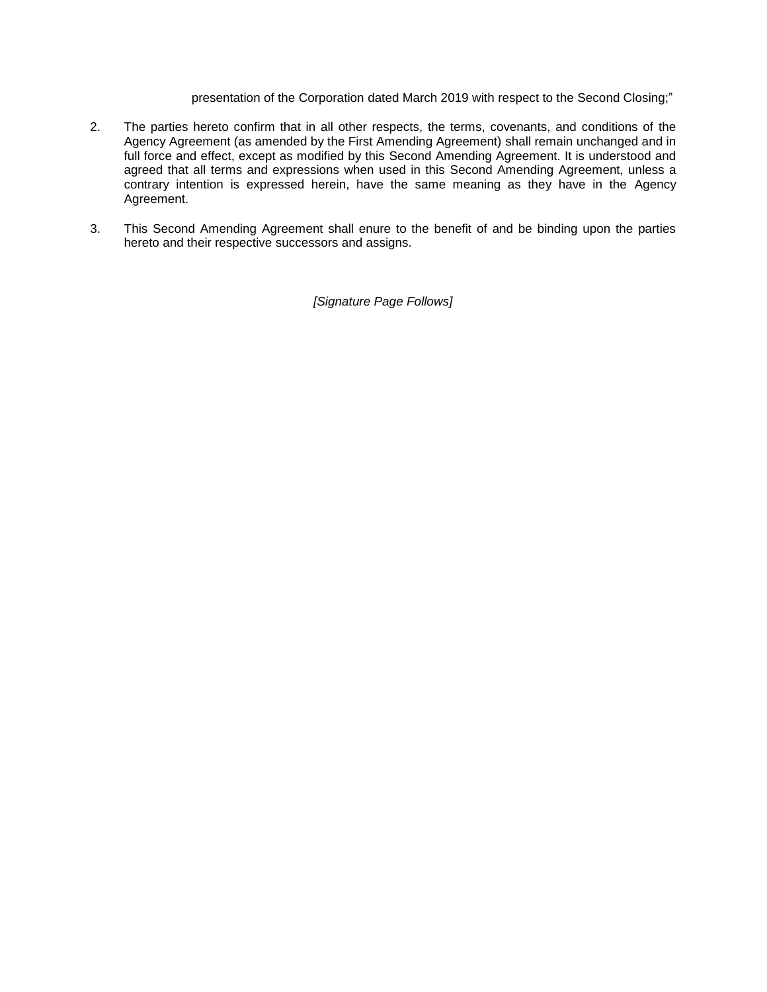presentation of the Corporation dated March 2019 with respect to the Second Closing;"

- 2. The parties hereto confirm that in all other respects, the terms, covenants, and conditions of the Agency Agreement (as amended by the First Amending Agreement) shall remain unchanged and in full force and effect, except as modified by this Second Amending Agreement. It is understood and agreed that all terms and expressions when used in this Second Amending Agreement, unless a contrary intention is expressed herein, have the same meaning as they have in the Agency Agreement.
- 3. This Second Amending Agreement shall enure to the benefit of and be binding upon the parties hereto and their respective successors and assigns.

*[Signature Page Follows]*